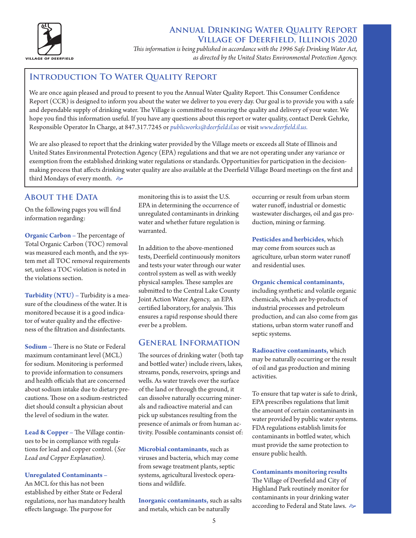

# **Annual Drinking Water Quality Report Village of Deerfield, Illinois 2020**

*This information is being published in accordance with the 1996 Safe Drinking Water Act, as directed by the United States Environmental Protection Agency.*

# **INTRODUCTION TO WATER QUALITY REPORT**

We are once again pleased and proud to present to you the Annual Water Quality Report. This Consumer Confidence Report (CCR) is designed to inform you about the water we deliver to you every day. Our goal is to provide you with a safe and dependable supply of drinking water. The Village is committed to ensuring the quality and delivery of your water. We hope you find this information useful. If you have any questions about this report or water quality, contact Derek Gehrke, Responsible Operator In Charge, at 847.317.7245 or *publicworks@deerfield.il.us* or visit *www.deerfield.il.us.*

We are also pleased to report that the drinking water provided by the Village meets or exceeds all State of Illinois and United States Environmental Protection Agency (EPA) regulations and that we are not operating under any variance or exemption from the established drinking water regulations or standards. Opportunities for participation in the decisionmaking process that affects drinking water quality are also available at the Deerfield Village Board meetings on the first and third Mondays of every month.  $\approx$ 

### **About the Data**

On the following pages you will find information regarding:

**Organic Carbon –** The percentage of Total Organic Carbon (TOC) removal was measured each month, and the system met all TOC removal requirements set, unless a TOC violation is noted in the violations section.

**Turbidity (NTU) –** Turbidity is a measure of the cloudiness of the water. It is monitored because it is a good indicator of water quality and the effectiveness of the filtration and disinfectants.

**Sodium –** There is no State or Federal maximum contaminant level (MCL) for sodium. Monitoring is performed to provide information to consumers and health officials that are concerned about sodium intake due to dietary precautions. Those on a sodium-restricted diet should consult a physician about the level of sodium in the water.

**Lead & Copper –** The Village continues to be in compliance with regulations for lead and copper control. (*See Lead and Copper Explanation).*

#### **Unregulated Contaminants –**

An MCL for this has not been established by either State or Federal regulations, nor has mandatory health effects language. The purpose for

monitoring this is to assist the U.S. EPA in determining the occurrence of unregulated contaminants in drinking water and whether future regulation is warranted.

In addition to the above-mentioned tests, Deerfield continuously monitors and tests your water through our water control system as well as with weekly physical samples. These samples are submitted to the Central Lake County Joint Action Water Agency, an EPA certified laboratory, for analysis. This ensures a rapid response should there ever be a problem.

#### **General Information**

The sources of drinking water (both tap and bottled water) include rivers, lakes, streams, ponds, reservoirs, springs and wells. As water travels over the surface of the land or through the ground, it can dissolve naturally occurring minerals and radioactive material and can pick up substances resulting from the presence of animals or from human activity. Possible contaminants consist of:

**Microbial contaminants,** such as viruses and bacteria, which may come from sewage treatment plants, septic systems, agricultural livestock operations and wildlife.

**Inorganic contaminants,** such as salts and metals, which can be naturally

occurring or result from urban storm water runoff, industrial or domestic wastewater discharges, oil and gas production, mining or farming.

**Pesticides and herbicides,** which may come from sources such as agriculture, urban storm water runoff and residential uses.

#### **Organic chemical contaminants,**

including synthetic and volatile organic chemicals, which are by-products of industrial processes and petroleum production, and can also come from gas stations, urban storm water runoff and septic systems.

**Radioactive contaminants,** which may be naturally occurring or the result of oil and gas production and mining activities.

To ensure that tap water is safe to drink, EPA prescribes regulations that limit the amount of certain contaminants in water provided by public water systems. FDA regulations establish limits for contaminants in bottled water, which must provide the same protection to ensure public health.

**Contaminants monitoring results**

The Village of Deerfield and City of Highland Park routinely monitor for contaminants in your drinking water according to Federal and State laws.  $\approx$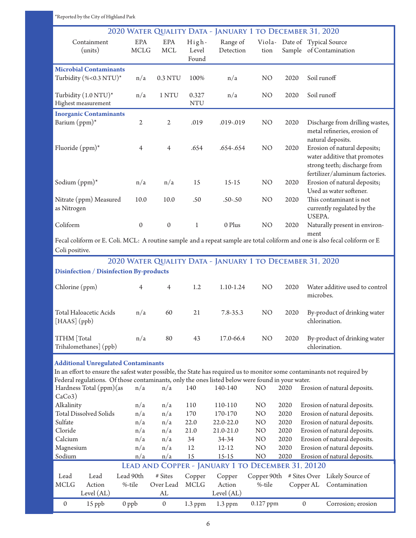| *Reported by the City of Highland Park                                                                                                 |                  |                  |                     |                        |                 |      |                                                                                                                             |
|----------------------------------------------------------------------------------------------------------------------------------------|------------------|------------------|---------------------|------------------------|-----------------|------|-----------------------------------------------------------------------------------------------------------------------------|
|                                                                                                                                        |                  |                  |                     |                        |                 |      | 2020 WATER QUALITY DATA - JANUARY 1 TO DECEMBER 31, 2020                                                                    |
| Containment                                                                                                                            | <b>EPA</b>       | EPA              | High-               | Range of               |                 |      | Viola- Date of Typical Source                                                                                               |
| (units)                                                                                                                                | <b>MCLG</b>      | <b>MCL</b>       | Level               | Detection              | tion            |      | Sample of Contamination                                                                                                     |
| Found                                                                                                                                  |                  |                  |                     |                        |                 |      |                                                                                                                             |
| <b>Microbial Contaminants</b>                                                                                                          |                  |                  |                     |                        |                 |      |                                                                                                                             |
| Turbidity (%<0.3 NTU)*                                                                                                                 | n/a              | 0.3 NTU          | 100%                | n/a                    | NO <sub>1</sub> | 2020 | Soil runoff                                                                                                                 |
|                                                                                                                                        |                  |                  |                     |                        |                 |      |                                                                                                                             |
| Turbidity (1.0 NTU)*<br>Highest measurement                                                                                            | n/a              | 1 NTU            | 0.327<br><b>NTU</b> | n/a                    | N <sub>O</sub>  | 2020 | Soil runoff                                                                                                                 |
|                                                                                                                                        |                  |                  |                     |                        |                 |      |                                                                                                                             |
| <b>Inorganic Contaminants</b><br>Barium (ppm)*                                                                                         | $\overline{2}$   | $\mathfrak{2}$   | .019                | .019-.019              | N <sub>O</sub>  | 2020 | Discharge from drilling wastes,                                                                                             |
|                                                                                                                                        |                  |                  |                     |                        |                 |      | metal refineries, erosion of                                                                                                |
|                                                                                                                                        |                  |                  |                     |                        |                 |      | natural deposits.                                                                                                           |
| Fluoride $(ppm)*$                                                                                                                      | $\overline{4}$   | $\overline{4}$   | .654                | .654-.654              | N <sub>O</sub>  | 2020 | Erosion of natural deposits;                                                                                                |
|                                                                                                                                        |                  |                  |                     |                        |                 |      | water additive that promotes                                                                                                |
|                                                                                                                                        |                  |                  |                     |                        |                 |      | strong teeth; discharge from                                                                                                |
|                                                                                                                                        |                  |                  |                     |                        |                 |      | fertilizer/aluminum factories.                                                                                              |
| Sodium $(ppm)^*$                                                                                                                       | n/a              | n/a              | 15                  | $15-15$                | N <sub>O</sub>  | 2020 | Erosion of natural deposits;<br>Used as water softener.                                                                     |
| Nitrate (ppm) Measured                                                                                                                 | 10.0             | 10.0             | .50                 | $.50 - .50$            | N <sub>O</sub>  | 2020 | This contaminant is not                                                                                                     |
| as Nitrogen                                                                                                                            |                  |                  |                     |                        |                 |      | currently regulated by the                                                                                                  |
|                                                                                                                                        |                  |                  |                     |                        |                 |      | USEPA.                                                                                                                      |
| Coliform                                                                                                                               | $\boldsymbol{0}$ | $\boldsymbol{0}$ | $\mathbf{1}$        | 0 Plus                 | NO              | 2020 | Naturally present in environ-                                                                                               |
|                                                                                                                                        |                  |                  |                     |                        |                 |      | ment                                                                                                                        |
|                                                                                                                                        |                  |                  |                     |                        |                 |      | Fecal coliform or E. Coli. MCL: A routine sample and a repeat sample are total coliform and one is also fecal coliform or E |
| Coli positive.                                                                                                                         |                  |                  |                     |                        |                 |      |                                                                                                                             |
|                                                                                                                                        |                  |                  |                     |                        |                 |      | 2020 WATER QUALITY DATA - JANUARY 1 TO DECEMBER 31, 2020                                                                    |
| <b>Disinfection / Disinfection By-products</b>                                                                                         |                  |                  |                     |                        |                 |      |                                                                                                                             |
| Chlorine (ppm)                                                                                                                         | 4                | $\overline{4}$   | 1.2                 | 1.10-1.24              | N <sub>O</sub>  | 2020 | Water additive used to control                                                                                              |
|                                                                                                                                        |                  |                  |                     |                        |                 |      | microbes.                                                                                                                   |
|                                                                                                                                        |                  |                  |                     |                        |                 |      |                                                                                                                             |
| Total Haloacetic Acids                                                                                                                 | n/a              | 60               | 21                  | 7.8-35.3               | N <sub>O</sub>  | 2020 | By-product of drinking water                                                                                                |
| [HAAS] (ppb)                                                                                                                           |                  |                  |                     |                        |                 |      | chlorination.                                                                                                               |
| TTHM [Total                                                                                                                            | n/a              | 80               | 43                  | 17.0-66.4              | N <sub>O</sub>  | 2020 | By-product of drinking water                                                                                                |
| Trihalomethanes] (ppb)                                                                                                                 |                  |                  |                     |                        |                 |      | chlorination.                                                                                                               |
|                                                                                                                                        |                  |                  |                     |                        |                 |      |                                                                                                                             |
| <b>Additional Unregulated Contaminants</b>                                                                                             |                  |                  |                     |                        |                 |      |                                                                                                                             |
| In an effort to ensure the safest water possible, the State has required us to monitor some contaminants not required by               |                  |                  |                     |                        |                 |      |                                                                                                                             |
| Federal regulations. Of those contaminants, only the ones listed below were found in your water.<br>Hardness Total (ppm) (as           | n/a              | n/a              | 140                 | 140-140                | NO              | 2020 | Erosion of natural deposits.                                                                                                |
| CaCo3)                                                                                                                                 |                  |                  |                     |                        |                 |      |                                                                                                                             |
| Alkalinity                                                                                                                             | n/a              | n/a              | 110                 | 110-110                | NO              | 2020 | Erosion of natural deposits.                                                                                                |
| <b>Total Dissolved Solids</b>                                                                                                          | n/a              | n/a              | 170                 | 170-170                | NO              | 2020 | Erosion of natural deposits.                                                                                                |
| Sulfate                                                                                                                                | n/a              | n/a              | 22.0                | 22.0-22.0              | NO              | 2020 | Erosion of natural deposits.                                                                                                |
| Cloride                                                                                                                                | n/a              | n/a              | 21.0                | 21.0-21.0              | N <sub>O</sub>  | 2020 | Erosion of natural deposits.                                                                                                |
| Calcium                                                                                                                                | n/a              | n/a              | 34                  | 34-34                  | NO              | 2020 | Erosion of natural deposits.                                                                                                |
| Magnesium                                                                                                                              | n/a              | n/a              | 12                  | $12 - 12$              | NO              | 2020 | Erosion of natural deposits.                                                                                                |
| NO<br>Erosion of natural deposits.<br>Sodium<br>n/a<br>n/a<br>15<br>15-15<br>2020<br>LEAD AND COPPER - JANUARY 1 TO DECEMBER 31, 20120 |                  |                  |                     |                        |                 |      |                                                                                                                             |
|                                                                                                                                        |                  |                  |                     |                        |                 |      |                                                                                                                             |
|                                                                                                                                        |                  |                  |                     |                        |                 |      |                                                                                                                             |
| Lead<br>Lead                                                                                                                           | Lead 90th        | # Sites          | Copper              | Copper                 |                 |      | Copper 90th # Sites Over Likely Source of                                                                                   |
| <b>MCLG</b><br>Action<br>Level $(AL)$                                                                                                  | %-tile           | Over Lead<br>AL  | <b>MCLG</b>         | Action<br>Level $(AL)$ | %-tile          |      | Copper AL<br>Contamination                                                                                                  |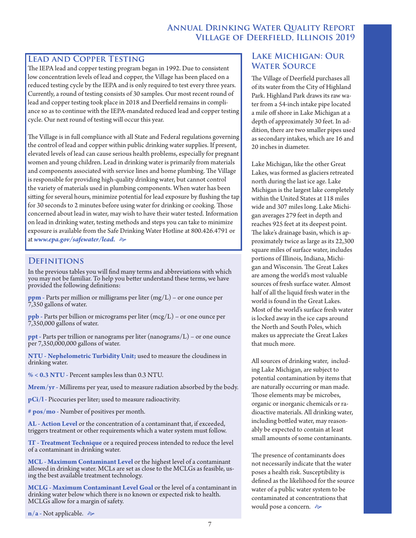# **Annual Drinking Water Quality Report Village of Deerfield, Illinois 2019**

### **Lead and Copper Testing**

The IEPA lead and copper testing program began in 1992. Due to consistent low concentration levels of lead and copper, the Village has been placed on a reduced testing cycle by the IEPA and is only required to test every three years. Currently, a round of testing consists of 30 samples. Our most recent round of lead and copper testing took place in 2018 and Deerfield remains in compliance so as to continue with the IEPA-mandated reduced lead and copper testing cycle. Our next round of testing will occur this year.

The Village is in full compliance with all State and Federal regulations governing the control of lead and copper within public drinking water supplies. If present, elevated levels of lead can cause serious health problems, especially for pregnant women and young children. Lead in drinking water is primarily from materials and components associated with service lines and home plumbing. The Village is responsible for providing high-quality drinking water, but cannot control the variety of materials used in plumbing components. When water has been sitting for several hours, minimize potential for lead exposure by flushing the tap for 30 seconds to 2 minutes before using water for drinking or cooking. Those concerned about lead in water, may wish to have their water tested. Information on lead in drinking water, testing methods and steps you can take to minimize exposure is available from the Safe Drinking Water Hotline at 800.426.4791 or at www.epa.gov/safewater/lead.  $\Leftrightarrow$ 

### **Definitions**

In the previous tables you will find many terms and abbreviations with which you may not be familiar. To help you better understand these terms, we have provided the following definitions:

**ppm -** Parts per million or milligrams per liter (mg/L) – or one ounce per 7,350 gallons of water.

**ppb -** Parts per billion or micrograms per liter (mcg/L) – or one ounce per 7,350,000 gallons of water.

**ppt** - Parts per trillion or nanograms per liter (nanograms/L) – or one ounce per 7,350,000,000 gallons of water.

**NTU - Nephelometric Turbidity Unit;** used to measure the cloudiness in drinking water.

**% < 0.3 NTU -** Percent samples less than 0.3 NTU.

**Mrem/yr -** Millirems per year, used to measure radiation absorbed by the body.

**pCi/l -** Picocuries per liter; used to measure radioactivity.

**# pos/mo -** Number of positives per month.

**AL - Action Level** or the concentration of a contaminant that, if exceeded, triggers treatment or other requirements which a water system must follow.

**TT - Treatment Technique** or a required process intended to reduce the level of a contaminant in drinking water.

**MCL - Maximum Contaminant Level** or the highest level of a contaminant allowed in drinking water. MCLs are set as close to the MCLGs as feasible, us- ing the best available treatment technology.

**MCLG - Maximum Contaminant Level Goal** or the level of a contaminant in drinking water below which there is no known or expected risk to health. MCLGs allow for a margin of safety.

**n/a** - Not applicable.  $\approx$ 

# **Lake Michigan: Our Water Source**

The Village of Deerfield purchases all of its water from the City of Highland Park. Highland Park draws its raw water from a 54-inch intake pipe located a mile off shore in Lake Michigan at a depth of approximately 30 feet. In addition, there are two smaller pipes used as secondary intakes, which are 16 and 20 inches in diameter.

Lake Michigan, like the other Great Lakes, was formed as glaciers retreated north during the last ice age. Lake Michigan is the largest lake completely within the United States at 118 miles wide and 307 miles long. Lake Michigan averages 279 feet in depth and reaches 925 feet at its deepest point. The lake's drainage basin, which is approximately twice as large as its 22,300 square miles of surface water, includes portions of Illinois, Indiana, Michigan and Wisconsin. The Great Lakes are among the world's most valuable sources of fresh surface water. Almost half of all the liquid fresh water in the world is found in the Great Lakes. Most of the world's surface fresh water is locked away in the ice caps around the North and South Poles, which makes us appreciate the Great Lakes that much more.

All sources of drinking water, including Lake Michigan, are subject to potential contamination by items that are naturally occurring or man made. Those elements may be microbes, organic or inorganic chemicals or radioactive materials. All drinking water, including bottled water, may reasonably be expected to contain at least small amounts of some contaminants.

The presence of contaminants does not necessarily indicate that the water poses a health risk. Susceptibility is defined as the likelihood for the source water of a public water system to be contaminated at concentrations that would pose a concern.  $\approx$